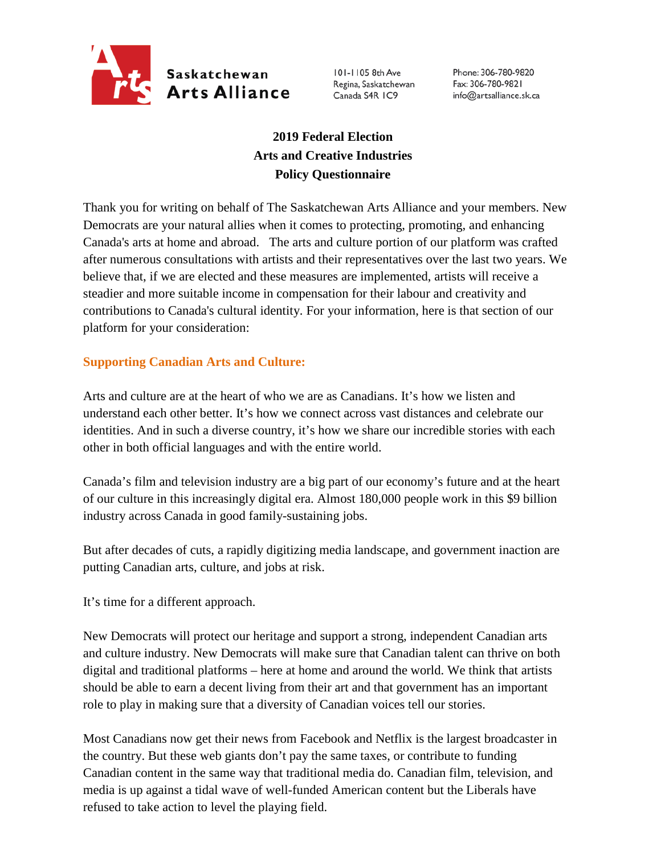

101-1105 8th Ave Regina, Saskatchewan Canada S4R IC9

Phone: 306-780-9820 Fax: 306-780-9821 info@artsalliance.sk.ca

## **2019 Federal Election Arts and Creative Industries Policy Questionnaire**

Thank you for writing on behalf of The Saskatchewan Arts Alliance and your members. New Democrats are your natural allies when it comes to protecting, promoting, and enhancing Canada's arts at home and abroad. The arts and culture portion of our platform was crafted after numerous consultations with artists and their representatives over the last two years. We believe that, if we are elected and these measures are implemented, artists will receive a steadier and more suitable income in compensation for their labour and creativity and contributions to Canada's cultural identity. For your information, here is that section of our platform for your consideration:

## **Supporting Canadian Arts and Culture:**

Arts and culture are at the heart of who we are as Canadians. It's how we listen and understand each other better. It's how we connect across vast distances and celebrate our identities. And in such a diverse country, it's how we share our incredible stories with each other in both official languages and with the entire world.

Canada's film and television industry are a big part of our economy's future and at the heart of our culture in this increasingly digital era. Almost 180,000 people work in this \$9 billion industry across Canada in good family-sustaining jobs.

But after decades of cuts, a rapidly digitizing media landscape, and government inaction are putting Canadian arts, culture, and jobs at risk.

It's time for a different approach.

New Democrats will protect our heritage and support a strong, independent Canadian arts and culture industry. New Democrats will make sure that Canadian talent can thrive on both digital and traditional platforms – here at home and around the world. We think that artists should be able to earn a decent living from their art and that government has an important role to play in making sure that a diversity of Canadian voices tell our stories.

Most Canadians now get their news from Facebook and Netflix is the largest broadcaster in the country. But these web giants don't pay the same taxes, or contribute to funding Canadian content in the same way that traditional media do. Canadian film, television, and media is up against a tidal wave of well-funded American content but the Liberals have refused to take action to level the playing field.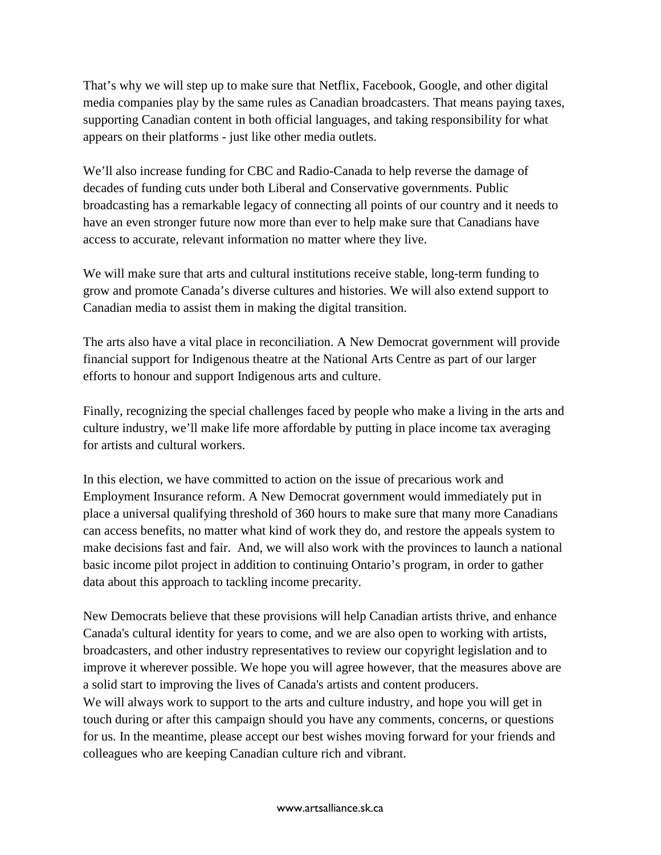That's why we will step up to make sure that Netflix, Facebook, Google, and other digital media companies play by the same rules as Canadian broadcasters. That means paying taxes, supporting Canadian content in both official languages, and taking responsibility for what appears on their platforms - just like other media outlets.

We'll also increase funding for CBC and Radio-Canada to help reverse the damage of decades of funding cuts under both Liberal and Conservative governments. Public broadcasting has a remarkable legacy of connecting all points of our country and it needs to have an even stronger future now more than ever to help make sure that Canadians have access to accurate, relevant information no matter where they live.

We will make sure that arts and cultural institutions receive stable, long-term funding to grow and promote Canada's diverse cultures and histories. We will also extend support to Canadian media to assist them in making the digital transition.

The arts also have a vital place in reconciliation. A New Democrat government will provide financial support for Indigenous theatre at the National Arts Centre as part of our larger efforts to honour and support Indigenous arts and culture.

Finally, recognizing the special challenges faced by people who make a living in the arts and culture industry, we'll make life more affordable by putting in place income tax averaging for artists and cultural workers.

In this election, we have committed to action on the issue of precarious work and Employment Insurance reform. A New Democrat government would immediately put in place a universal qualifying threshold of 360 hours to make sure that many more Canadians can access benefits, no matter what kind of work they do, and restore the appeals system to make decisions fast and fair. And, we will also work with the provinces to launch a national basic income pilot project in addition to continuing Ontario's program, in order to gather data about this approach to tackling income precarity.

New Democrats believe that these provisions will help Canadian artists thrive, and enhance Canada's cultural identity for years to come, and we are also open to working with artists, broadcasters, and other industry representatives to review our copyright legislation and to improve it wherever possible. We hope you will agree however, that the measures above are a solid start to improving the lives of Canada's artists and content producers. We will always work to support to the arts and culture industry, and hope you will get in touch during or after this campaign should you have any comments, concerns, or questions for us. In the meantime, please accept our best wishes moving forward for your friends and colleagues who are keeping Canadian culture rich and vibrant.